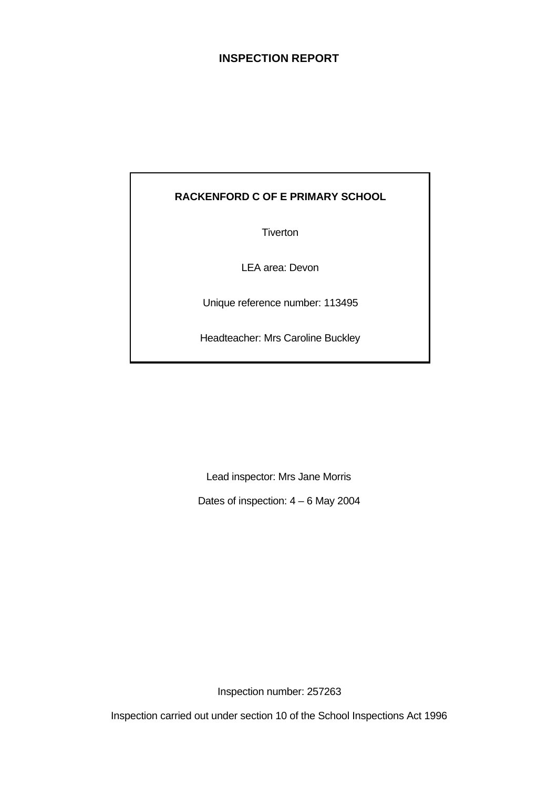# **INSPECTION REPORT**

# **RACKENFORD C OF E PRIMARY SCHOOL**

**Tiverton** 

LEA area: Devon

Unique reference number: 113495

Headteacher: Mrs Caroline Buckley

Lead inspector: Mrs Jane Morris

Dates of inspection: 4 – 6 May 2004

Inspection number: 257263

Inspection carried out under section 10 of the School Inspections Act 1996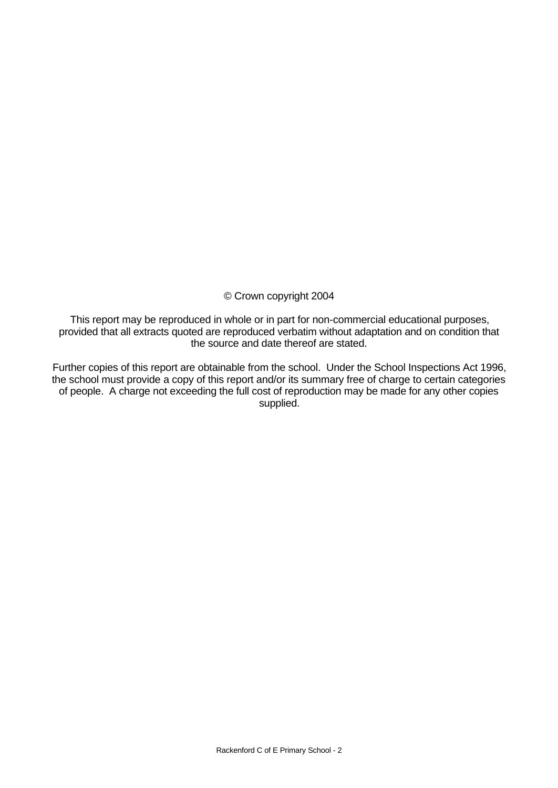## © Crown copyright 2004

This report may be reproduced in whole or in part for non-commercial educational purposes, provided that all extracts quoted are reproduced verbatim without adaptation and on condition that the source and date thereof are stated.

Further copies of this report are obtainable from the school. Under the School Inspections Act 1996, the school must provide a copy of this report and/or its summary free of charge to certain categories of people. A charge not exceeding the full cost of reproduction may be made for any other copies supplied.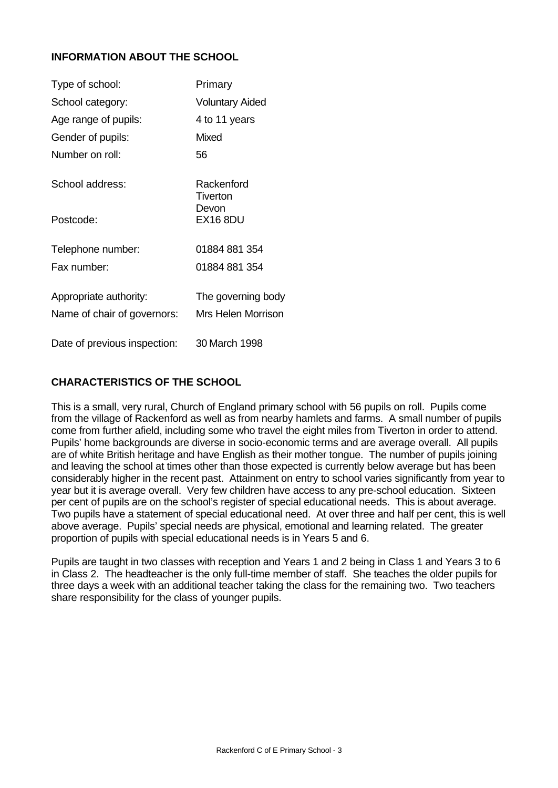## **INFORMATION ABOUT THE SCHOOL**

| Type of school:                                       | Primary                                         |
|-------------------------------------------------------|-------------------------------------------------|
| School category:                                      | <b>Voluntary Aided</b>                          |
| Age range of pupils:                                  | 4 to 11 years                                   |
| Gender of pupils:                                     | Mixed                                           |
| Number on roll:                                       | 56                                              |
| School address:                                       | Rackenford<br>Tiverton                          |
| Postcode:                                             | Devon<br><b>EX16 8DU</b>                        |
| Telephone number:                                     | 01884 881 354                                   |
| Fax number:                                           | 01884 881 354                                   |
| Appropriate authority:<br>Name of chair of governors: | The governing body<br><b>Mrs Helen Morrison</b> |
| Date of previous inspection:                          | 30 March 1998                                   |

## **CHARACTERISTICS OF THE SCHOOL**

This is a small, very rural, Church of England primary school with 56 pupils on roll. Pupils come from the village of Rackenford as well as from nearby hamlets and farms. A small number of pupils come from further afield, including some who travel the eight miles from Tiverton in order to attend. Pupils' home backgrounds are diverse in socio-economic terms and are average overall. All pupils are of white British heritage and have English as their mother tongue. The number of pupils joining and leaving the school at times other than those expected is currently below average but has been considerably higher in the recent past. Attainment on entry to school varies significantly from year to year but it is average overall. Very few children have access to any pre-school education. Sixteen per cent of pupils are on the school's register of special educational needs. This is about average. Two pupils have a statement of special educational need. At over three and half per cent, this is well above average. Pupils' special needs are physical, emotional and learning related. The greater proportion of pupils with special educational needs is in Years 5 and 6.

Pupils are taught in two classes with reception and Years 1 and 2 being in Class 1 and Years 3 to 6 in Class 2. The headteacher is the only full-time member of staff. She teaches the older pupils for three days a week with an additional teacher taking the class for the remaining two. Two teachers share responsibility for the class of younger pupils.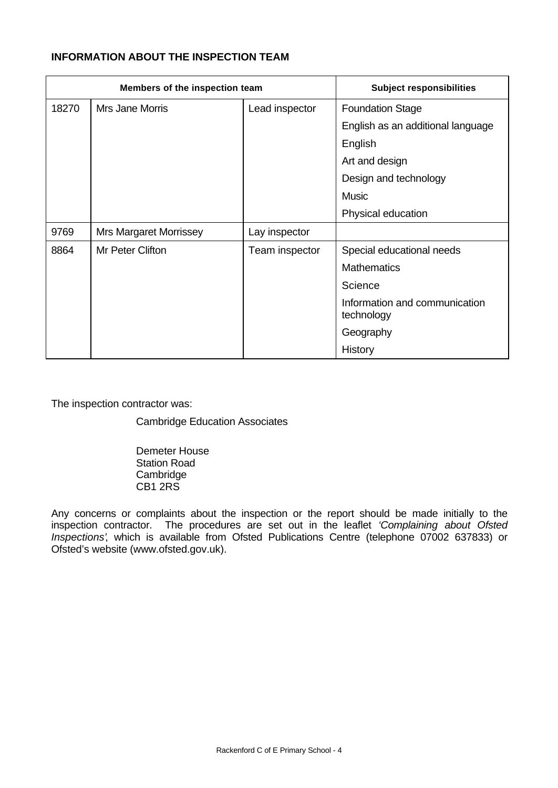# **INFORMATION ABOUT THE INSPECTION TEAM**

| Members of the inspection team |                               |                | <b>Subject responsibilities</b>             |  |
|--------------------------------|-------------------------------|----------------|---------------------------------------------|--|
| 18270                          | Mrs Jane Morris               | Lead inspector | <b>Foundation Stage</b>                     |  |
|                                |                               |                | English as an additional language           |  |
|                                |                               |                | English                                     |  |
|                                |                               |                | Art and design                              |  |
|                                |                               |                | Design and technology                       |  |
|                                |                               |                | <b>Music</b>                                |  |
|                                |                               |                | Physical education                          |  |
| 9769                           | <b>Mrs Margaret Morrissey</b> | Lay inspector  |                                             |  |
| 8864                           | Mr Peter Clifton              | Team inspector | Special educational needs                   |  |
|                                |                               |                | <b>Mathematics</b>                          |  |
|                                |                               |                | Science                                     |  |
|                                |                               |                | Information and communication<br>technology |  |
|                                |                               |                | Geography                                   |  |
|                                |                               |                | History                                     |  |

The inspection contractor was:

Cambridge Education Associates

Demeter House Station Road Cambridge CB1 2RS

Any concerns or complaints about the inspection or the report should be made initially to the inspection contractor. The procedures are set out in the leaflet *'Complaining about Ofsted Inspections'*, which is available from Ofsted Publications Centre (telephone 07002 637833) or Ofsted's website (www.ofsted.gov.uk).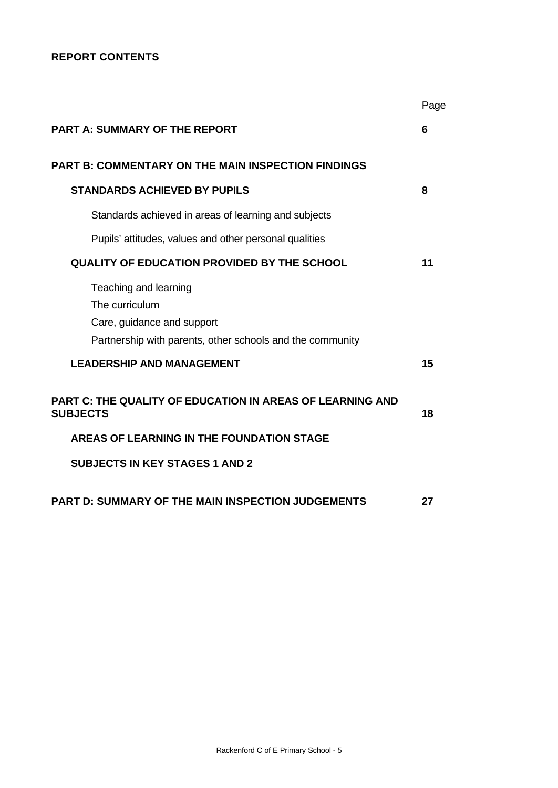## **REPORT CONTENTS**

|                                                                                                                                    | Page |
|------------------------------------------------------------------------------------------------------------------------------------|------|
| <b>PART A: SUMMARY OF THE REPORT</b>                                                                                               | 6    |
| <b>PART B: COMMENTARY ON THE MAIN INSPECTION FINDINGS</b>                                                                          |      |
| <b>STANDARDS ACHIEVED BY PUPILS</b>                                                                                                | 8    |
| Standards achieved in areas of learning and subjects                                                                               |      |
| Pupils' attitudes, values and other personal qualities                                                                             |      |
| <b>QUALITY OF EDUCATION PROVIDED BY THE SCHOOL</b>                                                                                 | 11   |
| Teaching and learning<br>The curriculum<br>Care, guidance and support<br>Partnership with parents, other schools and the community |      |
| <b>LEADERSHIP AND MANAGEMENT</b>                                                                                                   | 15   |
| <b>PART C: THE QUALITY OF EDUCATION IN AREAS OF LEARNING AND</b><br><b>SUBJECTS</b>                                                | 18   |
| AREAS OF LEARNING IN THE FOUNDATION STAGE                                                                                          |      |
| <b>SUBJECTS IN KEY STAGES 1 AND 2</b>                                                                                              |      |
| <b>PART D: SUMMARY OF THE MAIN INSPECTION JUDGEMENTS</b>                                                                           | 27   |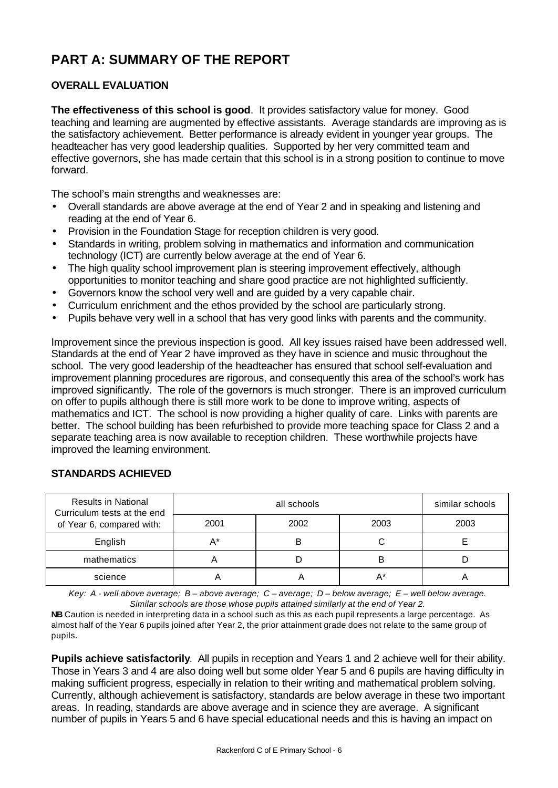# **PART A: SUMMARY OF THE REPORT**

# **OVERALL EVALUATION**

**The effectiveness of this school is good**.It provides satisfactory value for money. Good teaching and learning are augmented by effective assistants. Average standards are improving as is the satisfactory achievement. Better performance is already evident in younger year groups. The headteacher has very good leadership qualities. Supported by her very committed team and effective governors, she has made certain that this school is in a strong position to continue to move forward.

The school's main strengths and weaknesses are:

- Overall standards are above average at the end of Year 2 and in speaking and listening and reading at the end of Year 6.
- Provision in the Foundation Stage for reception children is very good.
- Standards in writing, problem solving in mathematics and information and communication technology (ICT) are currently below average at the end of Year 6.
- The high quality school improvement plan is steering improvement effectively, although opportunities to monitor teaching and share good practice are not highlighted sufficiently.
- Governors know the school very well and are guided by a very capable chair.
- Curriculum enrichment and the ethos provided by the school are particularly strong.
- Pupils behave very well in a school that has very good links with parents and the community.

Improvement since the previous inspection is good. All key issues raised have been addressed well. Standards at the end of Year 2 have improved as they have in science and music throughout the school. The very good leadership of the headteacher has ensured that school self-evaluation and improvement planning procedures are rigorous, and consequently this area of the school's work has improved significantly. The role of the governors is much stronger. There is an improved curriculum on offer to pupils although there is still more work to be done to improve writing, aspects of mathematics and ICT. The school is now providing a higher quality of care. Links with parents are better. The school building has been refurbished to provide more teaching space for Class 2 and a separate teaching area is now available to reception children. These worthwhile projects have improved the learning environment.

| <b>Results in National</b><br>Curriculum tests at the end |      | similar schools |      |      |
|-----------------------------------------------------------|------|-----------------|------|------|
| of Year 6, compared with:                                 | 2001 | 2002            | 2003 | 2003 |
| English                                                   | A*   | В               |      |      |
| mathematics                                               |      |                 | B    |      |
| science                                                   |      |                 |      |      |

#### **STANDARDS ACHIEVED**

*Key: A - well above average; B – above average; C – average; D – below average; E – well below average. Similar schools are those whose pupils attained similarly at the end of Year 2.*

**NB** Caution is needed in interpreting data in a school such as this as each pupil represents a large percentage. As almost half of the Year 6 pupils joined after Year 2, the prior attainment grade does not relate to the same group of pupils.

**Pupils achieve satisfactorily**.All pupils in reception and Years 1 and 2 achieve well for their ability. Those in Years 3 and 4 are also doing well but some older Year 5 and 6 pupils are having difficulty in making sufficient progress, especially in relation to their writing and mathematical problem solving. Currently, although achievement is satisfactory, standards are below average in these two important areas. In reading, standards are above average and in science they are average. A significant number of pupils in Years 5 and 6 have special educational needs and this is having an impact on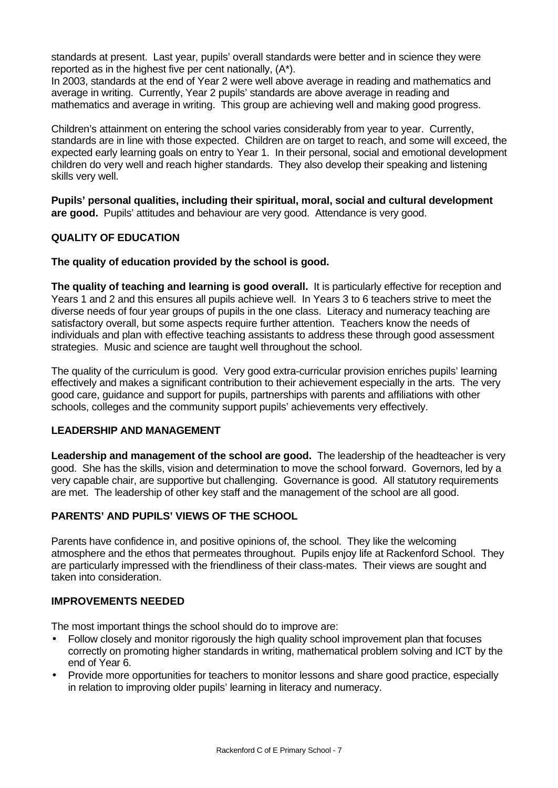standards at present. Last year, pupils' overall standards were better and in science they were reported as in the highest five per cent nationally, (A\*).

In 2003, standards at the end of Year 2 were well above average in reading and mathematics and average in writing. Currently, Year 2 pupils' standards are above average in reading and mathematics and average in writing. This group are achieving well and making good progress.

Children's attainment on entering the school varies considerably from year to year. Currently, standards are in line with those expected. Children are on target to reach, and some will exceed, the expected early learning goals on entry to Year 1. In their personal, social and emotional development children do very well and reach higher standards. They also develop their speaking and listening skills very well.

**Pupils' personal qualities, including their spiritual, moral, social and cultural development are good.** Pupils' attitudes and behaviour are very good. Attendance is very good.

#### **QUALITY OF EDUCATION**

#### **The quality of education provided by the school is good.**

**The quality of teaching and learning is good overall.** It is particularly effective for reception and Years 1 and 2 and this ensures all pupils achieve well. In Years 3 to 6 teachers strive to meet the diverse needs of four year groups of pupils in the one class. Literacy and numeracy teaching are satisfactory overall, but some aspects require further attention. Teachers know the needs of individuals and plan with effective teaching assistants to address these through good assessment strategies. Music and science are taught well throughout the school.

The quality of the curriculum is good. Very good extra-curricular provision enriches pupils' learning effectively and makes a significant contribution to their achievement especially in the arts. The very good care, guidance and support for pupils, partnerships with parents and affiliations with other schools, colleges and the community support pupils' achievements very effectively.

#### **LEADERSHIP AND MANAGEMENT**

**Leadership and management of the school are good.** The leadership of the headteacher is very good. She has the skills, vision and determination to move the school forward. Governors, led by a very capable chair, are supportive but challenging. Governance is good. All statutory requirements are met. The leadership of other key staff and the management of the school are all good.

## **PARENTS' AND PUPILS' VIEWS OF THE SCHOOL**

Parents have confidence in, and positive opinions of, the school. They like the welcoming atmosphere and the ethos that permeates throughout. Pupils enjoy life at Rackenford School. They are particularly impressed with the friendliness of their class-mates. Their views are sought and taken into consideration.

### **IMPROVEMENTS NEEDED**

The most important things the school should do to improve are:

- Follow closely and monitor rigorously the high quality school improvement plan that focuses correctly on promoting higher standards in writing, mathematical problem solving and ICT by the end of Year 6.
- Provide more opportunities for teachers to monitor lessons and share good practice, especially in relation to improving older pupils' learning in literacy and numeracy.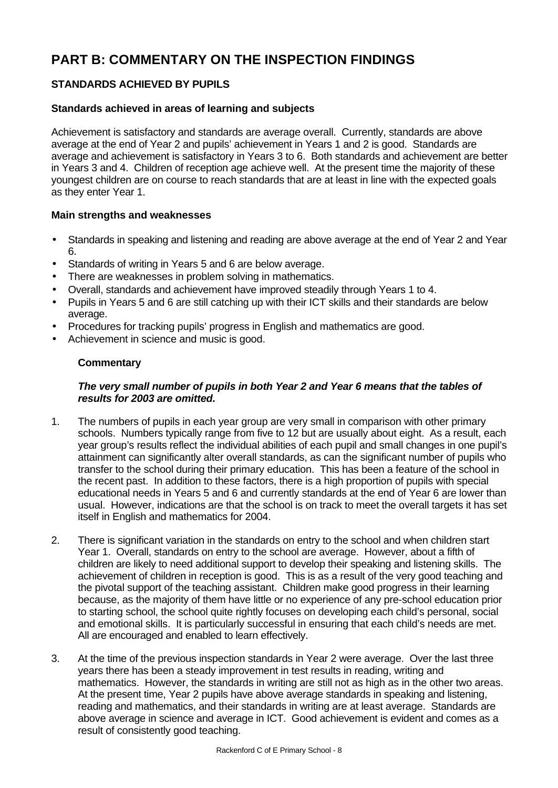# **PART B: COMMENTARY ON THE INSPECTION FINDINGS**

# **STANDARDS ACHIEVED BY PUPILS**

### **Standards achieved in areas of learning and subjects**

Achievement is satisfactory and standards are average overall. Currently, standards are above average at the end of Year 2 and pupils' achievement in Years 1 and 2 is good. Standards are average and achievement is satisfactory in Years 3 to 6. Both standards and achievement are better in Years 3 and 4. Children of reception age achieve well. At the present time the majority of these youngest children are on course to reach standards that are at least in line with the expected goals as they enter Year 1.

#### **Main strengths and weaknesses**

- Standards in speaking and listening and reading are above average at the end of Year 2 and Year 6.
- Standards of writing in Years 5 and 6 are below average.
- There are weaknesses in problem solving in mathematics.
- Overall, standards and achievement have improved steadily through Years 1 to 4.
- Pupils in Years 5 and 6 are still catching up with their ICT skills and their standards are below average.
- Procedures for tracking pupils' progress in English and mathematics are good.
- Achievement in science and music is good.

#### **Commentary**

### *The very small number of pupils in both Year 2 and Year 6 means that the tables of results for 2003 are omitted.*

- 1. The numbers of pupils in each year group are very small in comparison with other primary schools. Numbers typically range from five to 12 but are usually about eight. As a result, each year group's results reflect the individual abilities of each pupil and small changes in one pupil's attainment can significantly alter overall standards, as can the significant number of pupils who transfer to the school during their primary education. This has been a feature of the school in the recent past. In addition to these factors, there is a high proportion of pupils with special educational needs in Years 5 and 6 and currently standards at the end of Year 6 are lower than usual. However, indications are that the school is on track to meet the overall targets it has set itself in English and mathematics for 2004.
- 2. There is significant variation in the standards on entry to the school and when children start Year 1. Overall, standards on entry to the school are average. However, about a fifth of children are likely to need additional support to develop their speaking and listening skills. The achievement of children in reception is good. This is as a result of the very good teaching and the pivotal support of the teaching assistant. Children make good progress in their learning because, as the majority of them have little or no experience of any pre-school education prior to starting school, the school quite rightly focuses on developing each child's personal, social and emotional skills. It is particularly successful in ensuring that each child's needs are met. All are encouraged and enabled to learn effectively.
- 3. At the time of the previous inspection standards in Year 2 were average. Over the last three years there has been a steady improvement in test results in reading, writing and mathematics. However, the standards in writing are still not as high as in the other two areas. At the present time, Year 2 pupils have above average standards in speaking and listening, reading and mathematics, and their standards in writing are at least average. Standards are above average in science and average in ICT. Good achievement is evident and comes as a result of consistently good teaching.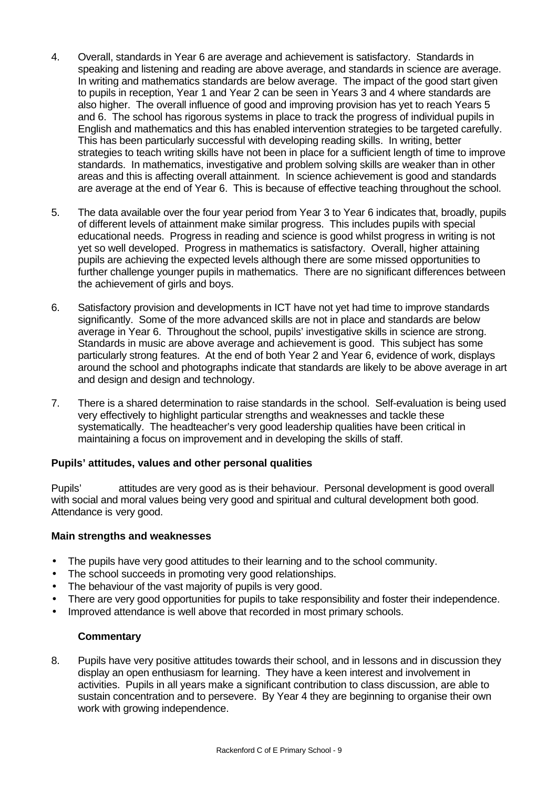- 4. Overall, standards in Year 6 are average and achievement is satisfactory. Standards in speaking and listening and reading are above average, and standards in science are average. In writing and mathematics standards are below average. The impact of the good start given to pupils in reception, Year 1 and Year 2 can be seen in Years 3 and 4 where standards are also higher. The overall influence of good and improving provision has yet to reach Years 5 and 6. The school has rigorous systems in place to track the progress of individual pupils in English and mathematics and this has enabled intervention strategies to be targeted carefully. This has been particularly successful with developing reading skills. In writing, better strategies to teach writing skills have not been in place for a sufficient length of time to improve standards. In mathematics, investigative and problem solving skills are weaker than in other areas and this is affecting overall attainment. In science achievement is good and standards are average at the end of Year 6. This is because of effective teaching throughout the school.
- 5. The data available over the four year period from Year 3 to Year 6 indicates that, broadly, pupils of different levels of attainment make similar progress. This includes pupils with special educational needs. Progress in reading and science is good whilst progress in writing is not yet so well developed. Progress in mathematics is satisfactory. Overall, higher attaining pupils are achieving the expected levels although there are some missed opportunities to further challenge younger pupils in mathematics. There are no significant differences between the achievement of girls and boys.
- 6. Satisfactory provision and developments in ICT have not yet had time to improve standards significantly. Some of the more advanced skills are not in place and standards are below average in Year 6. Throughout the school, pupils' investigative skills in science are strong. Standards in music are above average and achievement is good. This subject has some particularly strong features. At the end of both Year 2 and Year 6, evidence of work, displays around the school and photographs indicate that standards are likely to be above average in art and design and design and technology.
- 7. There is a shared determination to raise standards in the school. Self-evaluation is being used very effectively to highlight particular strengths and weaknesses and tackle these systematically. The headteacher's very good leadership qualities have been critical in maintaining a focus on improvement and in developing the skills of staff.

#### **Pupils' attitudes, values and other personal qualities**

Pupils' attitudes are very good as is their behaviour. Personal development is good overall with social and moral values being very good and spiritual and cultural development both good. Attendance is very good.

#### **Main strengths and weaknesses**

- The pupils have very good attitudes to their learning and to the school community.
- The school succeeds in promoting very good relationships.
- The behaviour of the vast majority of pupils is very good.
- There are very good opportunities for pupils to take responsibility and foster their independence.
- Improved attendance is well above that recorded in most primary schools.

#### **Commentary**

8. Pupils have very positive attitudes towards their school, and in lessons and in discussion they display an open enthusiasm for learning. They have a keen interest and involvement in activities. Pupils in all years make a significant contribution to class discussion, are able to sustain concentration and to persevere. By Year 4 they are beginning to organise their own work with growing independence.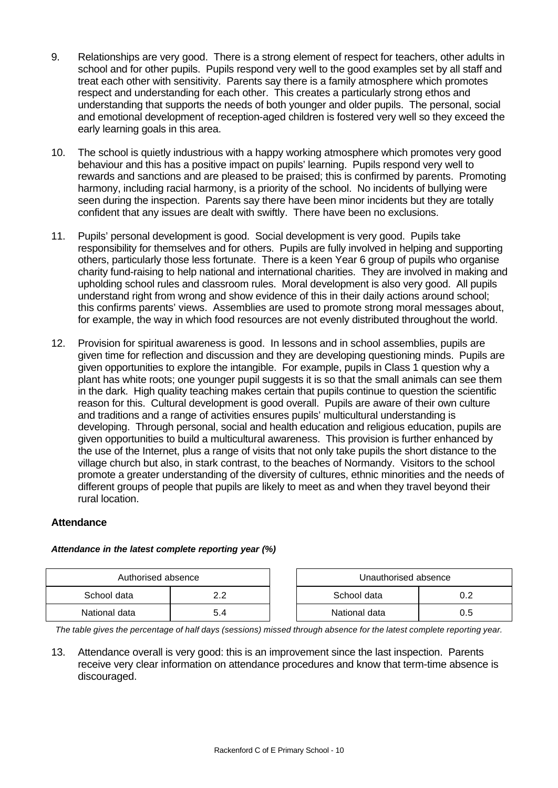- 9. Relationships are very good. There is a strong element of respect for teachers, other adults in school and for other pupils. Pupils respond very well to the good examples set by all staff and treat each other with sensitivity. Parents say there is a family atmosphere which promotes respect and understanding for each other. This creates a particularly strong ethos and understanding that supports the needs of both younger and older pupils. The personal, social and emotional development of reception-aged children is fostered very well so they exceed the early learning goals in this area.
- 10. The school is quietly industrious with a happy working atmosphere which promotes very good behaviour and this has a positive impact on pupils' learning. Pupils respond very well to rewards and sanctions and are pleased to be praised; this is confirmed by parents. Promoting harmony, including racial harmony, is a priority of the school. No incidents of bullying were seen during the inspection. Parents say there have been minor incidents but they are totally confident that any issues are dealt with swiftly. There have been no exclusions.
- 11. Pupils' personal development is good. Social development is very good. Pupils take responsibility for themselves and for others. Pupils are fully involved in helping and supporting others, particularly those less fortunate. There is a keen Year 6 group of pupils who organise charity fund-raising to help national and international charities. They are involved in making and upholding school rules and classroom rules. Moral development is also very good. All pupils understand right from wrong and show evidence of this in their daily actions around school; this confirms parents' views. Assemblies are used to promote strong moral messages about, for example, the way in which food resources are not evenly distributed throughout the world.
- 12. Provision for spiritual awareness is good. In lessons and in school assemblies, pupils are given time for reflection and discussion and they are developing questioning minds. Pupils are given opportunities to explore the intangible. For example, pupils in Class 1 question why a plant has white roots; one younger pupil suggests it is so that the small animals can see them in the dark. High quality teaching makes certain that pupils continue to question the scientific reason for this. Cultural development is good overall. Pupils are aware of their own culture and traditions and a range of activities ensures pupils' multicultural understanding is developing. Through personal, social and health education and religious education, pupils are given opportunities to build a multicultural awareness. This provision is further enhanced by the use of the Internet, plus a range of visits that not only take pupils the short distance to the village church but also, in stark contrast, to the beaches of Normandy. Visitors to the school promote a greater understanding of the diversity of cultures, ethnic minorities and the needs of different groups of people that pupils are likely to meet as and when they travel beyond their rural location.

## **Attendance**

| Authorised absence |                |             | Unauthorised absence |  |
|--------------------|----------------|-------------|----------------------|--|
| School data        |                | School data |                      |  |
| National data      | $\overline{A}$ |             | National data        |  |

#### *Attendance in the latest complete reporting year (%)*

*The table gives the percentage of half days (sessions) missed through absence for the latest complete reporting year.*

13. Attendance overall is very good: this is an improvement since the last inspection. Parents receive very clear information on attendance procedures and know that term-time absence is discouraged.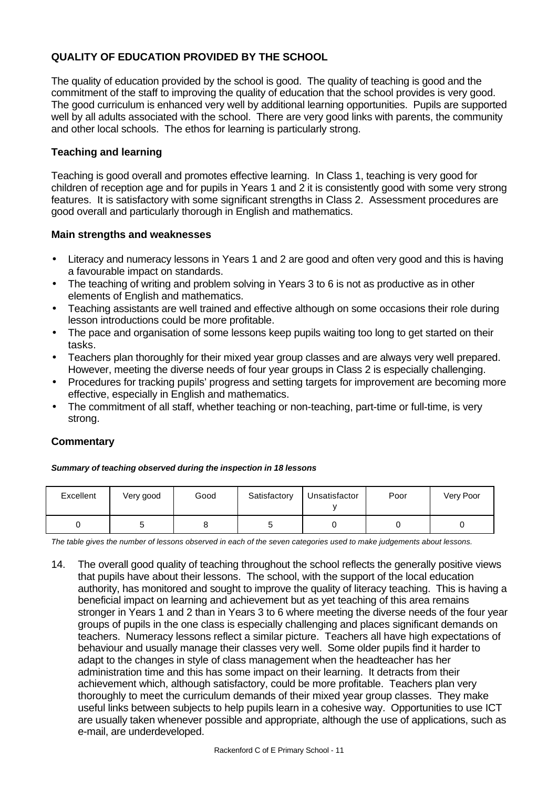# **QUALITY OF EDUCATION PROVIDED BY THE SCHOOL**

The quality of education provided by the school is good. The quality of teaching is good and the commitment of the staff to improving the quality of education that the school provides is very good. The good curriculum is enhanced very well by additional learning opportunities. Pupils are supported well by all adults associated with the school. There are very good links with parents, the community and other local schools. The ethos for learning is particularly strong.

## **Teaching and learning**

Teaching is good overall and promotes effective learning. In Class 1, teaching is very good for children of reception age and for pupils in Years 1 and 2 it is consistently good with some very strong features. It is satisfactory with some significant strengths in Class 2. Assessment procedures are good overall and particularly thorough in English and mathematics.

#### **Main strengths and weaknesses**

- Literacy and numeracy lessons in Years 1 and 2 are good and often very good and this is having a favourable impact on standards.
- The teaching of writing and problem solving in Years 3 to 6 is not as productive as in other elements of English and mathematics.
- Teaching assistants are well trained and effective although on some occasions their role during lesson introductions could be more profitable.
- The pace and organisation of some lessons keep pupils waiting too long to get started on their tasks.
- Teachers plan thoroughly for their mixed year group classes and are always very well prepared. However, meeting the diverse needs of four year groups in Class 2 is especially challenging.
- Procedures for tracking pupils' progress and setting targets for improvement are becoming more effective, especially in English and mathematics.
- The commitment of all staff, whether teaching or non-teaching, part-time or full-time, is very strong.

#### **Commentary**

#### *Summary of teaching observed during the inspection in 18 lessons*

| Excellent | Very good | Good | Satisfactory | Unsatisfactor | Poor | Very Poor |
|-----------|-----------|------|--------------|---------------|------|-----------|
|           |           |      |              |               |      |           |

*The table gives the number of lessons observed in each of the seven categories used to make judgements about lessons.*

14. The overall good quality of teaching throughout the school reflects the generally positive views that pupils have about their lessons. The school, with the support of the local education authority, has monitored and sought to improve the quality of literacy teaching. This is having a beneficial impact on learning and achievement but as yet teaching of this area remains stronger in Years 1 and 2 than in Years 3 to 6 where meeting the diverse needs of the four year groups of pupils in the one class is especially challenging and places significant demands on teachers. Numeracy lessons reflect a similar picture. Teachers all have high expectations of behaviour and usually manage their classes very well. Some older pupils find it harder to adapt to the changes in style of class management when the headteacher has her administration time and this has some impact on their learning. It detracts from their achievement which, although satisfactory, could be more profitable. Teachers plan very thoroughly to meet the curriculum demands of their mixed year group classes. They make useful links between subjects to help pupils learn in a cohesive way. Opportunities to use ICT are usually taken whenever possible and appropriate, although the use of applications, such as e-mail, are underdeveloped.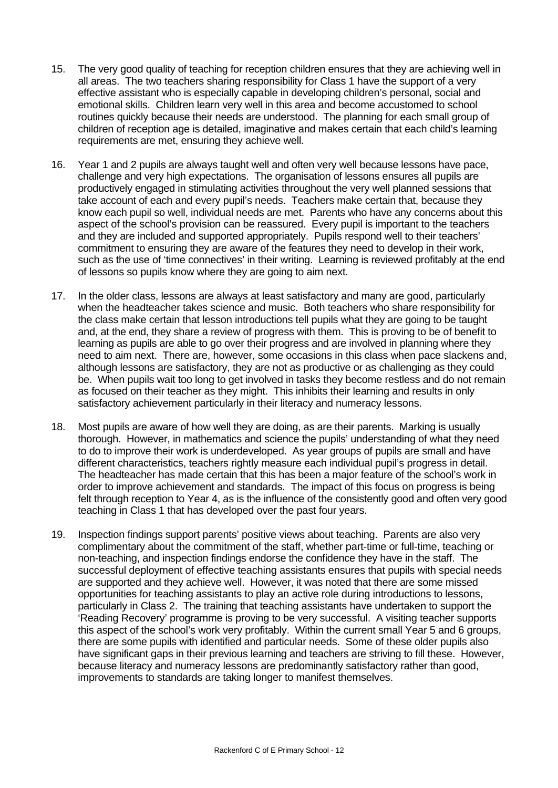- 15. The very good quality of teaching for reception children ensures that they are achieving well in all areas. The two teachers sharing responsibility for Class 1 have the support of a very effective assistant who is especially capable in developing children's personal, social and emotional skills. Children learn very well in this area and become accustomed to school routines quickly because their needs are understood. The planning for each small group of children of reception age is detailed, imaginative and makes certain that each child's learning requirements are met, ensuring they achieve well.
- 16. Year 1 and 2 pupils are always taught well and often very well because lessons have pace, challenge and very high expectations. The organisation of lessons ensures all pupils are productively engaged in stimulating activities throughout the very well planned sessions that take account of each and every pupil's needs. Teachers make certain that, because they know each pupil so well, individual needs are met. Parents who have any concerns about this aspect of the school's provision can be reassured. Every pupil is important to the teachers and they are included and supported appropriately. Pupils respond well to their teachers' commitment to ensuring they are aware of the features they need to develop in their work, such as the use of 'time connectives' in their writing. Learning is reviewed profitably at the end of lessons so pupils know where they are going to aim next.
- 17. In the older class, lessons are always at least satisfactory and many are good, particularly when the headteacher takes science and music. Both teachers who share responsibility for the class make certain that lesson introductions tell pupils what they are going to be taught and, at the end, they share a review of progress with them. This is proving to be of benefit to learning as pupils are able to go over their progress and are involved in planning where they need to aim next. There are, however, some occasions in this class when pace slackens and, although lessons are satisfactory, they are not as productive or as challenging as they could be. When pupils wait too long to get involved in tasks they become restless and do not remain as focused on their teacher as they might. This inhibits their learning and results in only satisfactory achievement particularly in their literacy and numeracy lessons.
- 18. Most pupils are aware of how well they are doing, as are their parents. Marking is usually thorough. However, in mathematics and science the pupils' understanding of what they need to do to improve their work is underdeveloped. As year groups of pupils are small and have different characteristics, teachers rightly measure each individual pupil's progress in detail. The headteacher has made certain that this has been a major feature of the school's work in order to improve achievement and standards. The impact of this focus on progress is being felt through reception to Year 4, as is the influence of the consistently good and often very good teaching in Class 1 that has developed over the past four years.
- 19. Inspection findings support parents' positive views about teaching. Parents are also very complimentary about the commitment of the staff, whether part-time or full-time, teaching or non-teaching, and inspection findings endorse the confidence they have in the staff. The successful deployment of effective teaching assistants ensures that pupils with special needs are supported and they achieve well. However, it was noted that there are some missed opportunities for teaching assistants to play an active role during introductions to lessons, particularly in Class 2. The training that teaching assistants have undertaken to support the 'Reading Recovery' programme is proving to be very successful. A visiting teacher supports this aspect of the school's work very profitably. Within the current small Year 5 and 6 groups, there are some pupils with identified and particular needs. Some of these older pupils also have significant gaps in their previous learning and teachers are striving to fill these. However, because literacy and numeracy lessons are predominantly satisfactory rather than good, improvements to standards are taking longer to manifest themselves.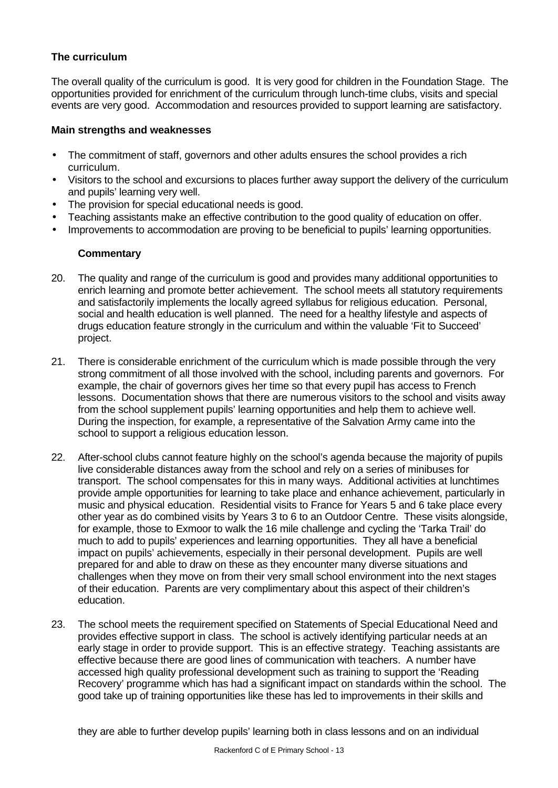## **The curriculum**

The overall quality of the curriculum is good. It is very good for children in the Foundation Stage. The opportunities provided for enrichment of the curriculum through lunch-time clubs, visits and special events are very good. Accommodation and resources provided to support learning are satisfactory.

#### **Main strengths and weaknesses**

- The commitment of staff, governors and other adults ensures the school provides a rich curriculum.
- Visitors to the school and excursions to places further away support the delivery of the curriculum and pupils' learning very well.
- The provision for special educational needs is good.
- Teaching assistants make an effective contribution to the good quality of education on offer.
- Improvements to accommodation are proving to be beneficial to pupils' learning opportunities.

## **Commentary**

- 20. The quality and range of the curriculum is good and provides many additional opportunities to enrich learning and promote better achievement. The school meets all statutory requirements and satisfactorily implements the locally agreed syllabus for religious education. Personal, social and health education is well planned. The need for a healthy lifestyle and aspects of drugs education feature strongly in the curriculum and within the valuable 'Fit to Succeed' project.
- 21. There is considerable enrichment of the curriculum which is made possible through the very strong commitment of all those involved with the school, including parents and governors. For example, the chair of governors gives her time so that every pupil has access to French lessons. Documentation shows that there are numerous visitors to the school and visits away from the school supplement pupils' learning opportunities and help them to achieve well. During the inspection, for example, a representative of the Salvation Army came into the school to support a religious education lesson.
- 22. After-school clubs cannot feature highly on the school's agenda because the majority of pupils live considerable distances away from the school and rely on a series of minibuses for transport. The school compensates for this in many ways. Additional activities at lunchtimes provide ample opportunities for learning to take place and enhance achievement, particularly in music and physical education. Residential visits to France for Years 5 and 6 take place every other year as do combined visits by Years 3 to 6 to an Outdoor Centre. These visits alongside, for example, those to Exmoor to walk the 16 mile challenge and cycling the 'Tarka Trail' do much to add to pupils' experiences and learning opportunities. They all have a beneficial impact on pupils' achievements, especially in their personal development. Pupils are well prepared for and able to draw on these as they encounter many diverse situations and challenges when they move on from their very small school environment into the next stages of their education. Parents are very complimentary about this aspect of their children's education.
- 23. The school meets the requirement specified on Statements of Special Educational Need and provides effective support in class. The school is actively identifying particular needs at an early stage in order to provide support. This is an effective strategy. Teaching assistants are effective because there are good lines of communication with teachers. A number have accessed high quality professional development such as training to support the 'Reading Recovery' programme which has had a significant impact on standards within the school. The good take up of training opportunities like these has led to improvements in their skills and

they are able to further develop pupils' learning both in class lessons and on an individual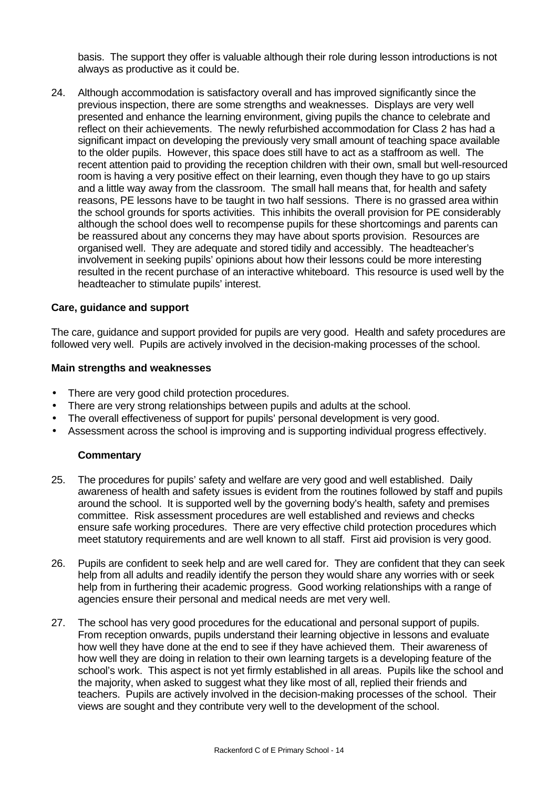basis. The support they offer is valuable although their role during lesson introductions is not always as productive as it could be.

24. Although accommodation is satisfactory overall and has improved significantly since the previous inspection, there are some strengths and weaknesses. Displays are very well presented and enhance the learning environment, giving pupils the chance to celebrate and reflect on their achievements. The newly refurbished accommodation for Class 2 has had a significant impact on developing the previously very small amount of teaching space available to the older pupils. However, this space does still have to act as a staffroom as well. The recent attention paid to providing the reception children with their own, small but well-resourced room is having a very positive effect on their learning, even though they have to go up stairs and a little way away from the classroom. The small hall means that, for health and safety reasons, PE lessons have to be taught in two half sessions. There is no grassed area within the school grounds for sports activities. This inhibits the overall provision for PE considerably although the school does well to recompense pupils for these shortcomings and parents can be reassured about any concerns they may have about sports provision. Resources are organised well. They are adequate and stored tidily and accessibly. The headteacher's involvement in seeking pupils' opinions about how their lessons could be more interesting resulted in the recent purchase of an interactive whiteboard. This resource is used well by the headteacher to stimulate pupils' interest.

#### **Care, guidance and support**

The care, guidance and support provided for pupils are very good. Health and safety procedures are followed very well. Pupils are actively involved in the decision-making processes of the school.

#### **Main strengths and weaknesses**

- There are very good child protection procedures.
- There are very strong relationships between pupils and adults at the school.
- The overall effectiveness of support for pupils' personal development is very good.
- Assessment across the school is improving and is supporting individual progress effectively.

#### **Commentary**

- 25. The procedures for pupils' safety and welfare are very good and well established. Daily awareness of health and safety issues is evident from the routines followed by staff and pupils around the school. It is supported well by the governing body's health, safety and premises committee. Risk assessment procedures are well established and reviews and checks ensure safe working procedures. There are very effective child protection procedures which meet statutory requirements and are well known to all staff. First aid provision is very good.
- 26. Pupils are confident to seek help and are well cared for. They are confident that they can seek help from all adults and readily identify the person they would share any worries with or seek help from in furthering their academic progress. Good working relationships with a range of agencies ensure their personal and medical needs are met very well.
- 27. The school has very good procedures for the educational and personal support of pupils. From reception onwards, pupils understand their learning objective in lessons and evaluate how well they have done at the end to see if they have achieved them. Their awareness of how well they are doing in relation to their own learning targets is a developing feature of the school's work. This aspect is not yet firmly established in all areas. Pupils like the school and the majority, when asked to suggest what they like most of all, replied their friends and teachers. Pupils are actively involved in the decision-making processes of the school. Their views are sought and they contribute very well to the development of the school.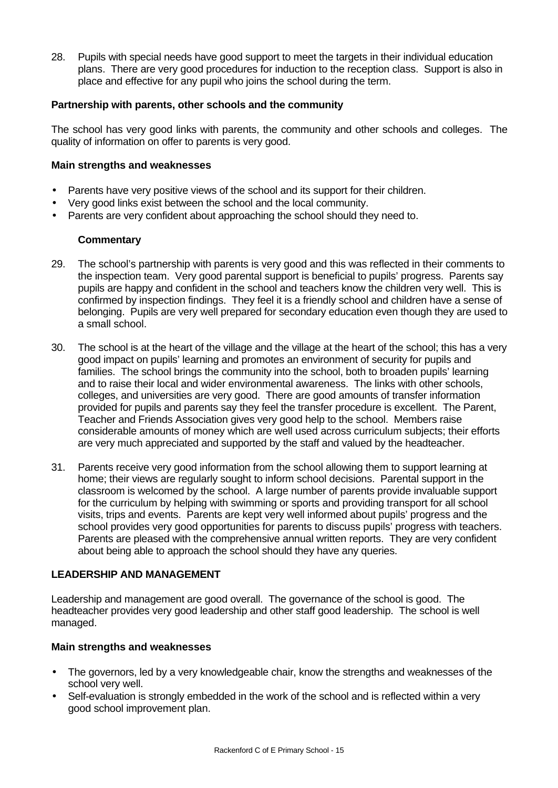28. Pupils with special needs have good support to meet the targets in their individual education plans. There are very good procedures for induction to the reception class. Support is also in place and effective for any pupil who joins the school during the term.

#### **Partnership with parents, other schools and the community**

The school has very good links with parents, the community and other schools and colleges. The quality of information on offer to parents is very good.

#### **Main strengths and weaknesses**

- Parents have very positive views of the school and its support for their children.
- Very good links exist between the school and the local community.
- Parents are very confident about approaching the school should they need to.

#### **Commentary**

- 29. The school's partnership with parents is very good and this was reflected in their comments to the inspection team. Very good parental support is beneficial to pupils' progress. Parents say pupils are happy and confident in the school and teachers know the children very well. This is confirmed by inspection findings. They feel it is a friendly school and children have a sense of belonging. Pupils are very well prepared for secondary education even though they are used to a small school.
- 30. The school is at the heart of the village and the village at the heart of the school; this has a very good impact on pupils' learning and promotes an environment of security for pupils and families. The school brings the community into the school, both to broaden pupils' learning and to raise their local and wider environmental awareness. The links with other schools, colleges, and universities are very good. There are good amounts of transfer information provided for pupils and parents say they feel the transfer procedure is excellent. The Parent, Teacher and Friends Association gives very good help to the school. Members raise considerable amounts of money which are well used across curriculum subjects; their efforts are very much appreciated and supported by the staff and valued by the headteacher.
- 31. Parents receive very good information from the school allowing them to support learning at home; their views are regularly sought to inform school decisions. Parental support in the classroom is welcomed by the school. A large number of parents provide invaluable support for the curriculum by helping with swimming or sports and providing transport for all school visits, trips and events. Parents are kept very well informed about pupils' progress and the school provides very good opportunities for parents to discuss pupils' progress with teachers. Parents are pleased with the comprehensive annual written reports. They are very confident about being able to approach the school should they have any queries.

#### **LEADERSHIP AND MANAGEMENT**

Leadership and management are good overall. The governance of the school is good. The headteacher provides very good leadership and other staff good leadership. The school is well managed.

#### **Main strengths and weaknesses**

- The governors, led by a very knowledgeable chair, know the strengths and weaknesses of the school very well.
- Self-evaluation is strongly embedded in the work of the school and is reflected within a very good school improvement plan.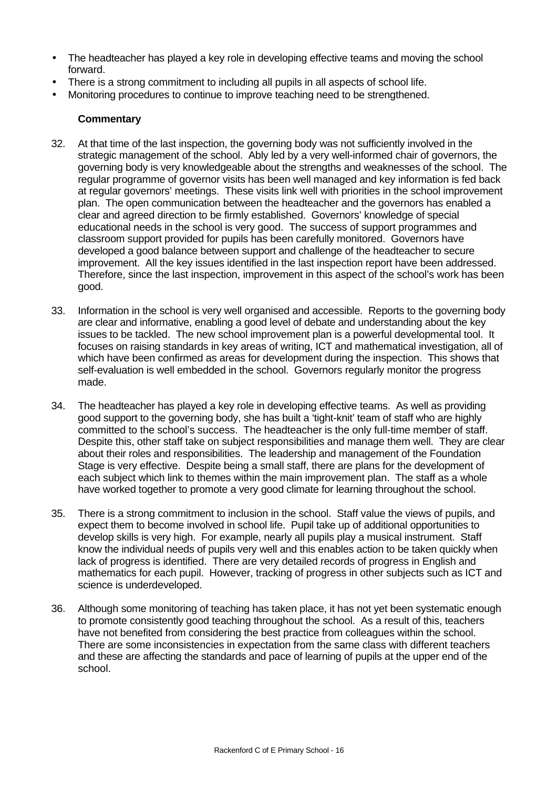- The headteacher has played a key role in developing effective teams and moving the school forward.
- There is a strong commitment to including all pupils in all aspects of school life.
- Monitoring procedures to continue to improve teaching need to be strengthened.

#### **Commentary**

- 32. At that time of the last inspection, the governing body was not sufficiently involved in the strategic management of the school. Ably led by a very well-informed chair of governors, the governing body is very knowledgeable about the strengths and weaknesses of the school. The regular programme of governor visits has been well managed and key information is fed back at regular governors' meetings. These visits link well with priorities in the school improvement plan. The open communication between the headteacher and the governors has enabled a clear and agreed direction to be firmly established. Governors' knowledge of special educational needs in the school is very good. The success of support programmes and classroom support provided for pupils has been carefully monitored. Governors have developed a good balance between support and challenge of the headteacher to secure improvement. All the key issues identified in the last inspection report have been addressed. Therefore, since the last inspection, improvement in this aspect of the school's work has been good.
- 33. Information in the school is very well organised and accessible. Reports to the governing body are clear and informative, enabling a good level of debate and understanding about the key issues to be tackled. The new school improvement plan is a powerful developmental tool. It focuses on raising standards in key areas of writing, ICT and mathematical investigation, all of which have been confirmed as areas for development during the inspection. This shows that self-evaluation is well embedded in the school. Governors regularly monitor the progress made.
- 34. The headteacher has played a key role in developing effective teams. As well as providing good support to the governing body, she has built a 'tight-knit' team of staff who are highly committed to the school's success. The headteacher is the only full-time member of staff. Despite this, other staff take on subject responsibilities and manage them well. They are clear about their roles and responsibilities. The leadership and management of the Foundation Stage is very effective. Despite being a small staff, there are plans for the development of each subject which link to themes within the main improvement plan. The staff as a whole have worked together to promote a very good climate for learning throughout the school.
- 35. There is a strong commitment to inclusion in the school. Staff value the views of pupils, and expect them to become involved in school life. Pupil take up of additional opportunities to develop skills is very high. For example, nearly all pupils play a musical instrument. Staff know the individual needs of pupils very well and this enables action to be taken quickly when lack of progress is identified. There are very detailed records of progress in English and mathematics for each pupil. However, tracking of progress in other subjects such as ICT and science is underdeveloped.
- 36. Although some monitoring of teaching has taken place, it has not yet been systematic enough to promote consistently good teaching throughout the school. As a result of this, teachers have not benefited from considering the best practice from colleagues within the school. There are some inconsistencies in expectation from the same class with different teachers and these are affecting the standards and pace of learning of pupils at the upper end of the school.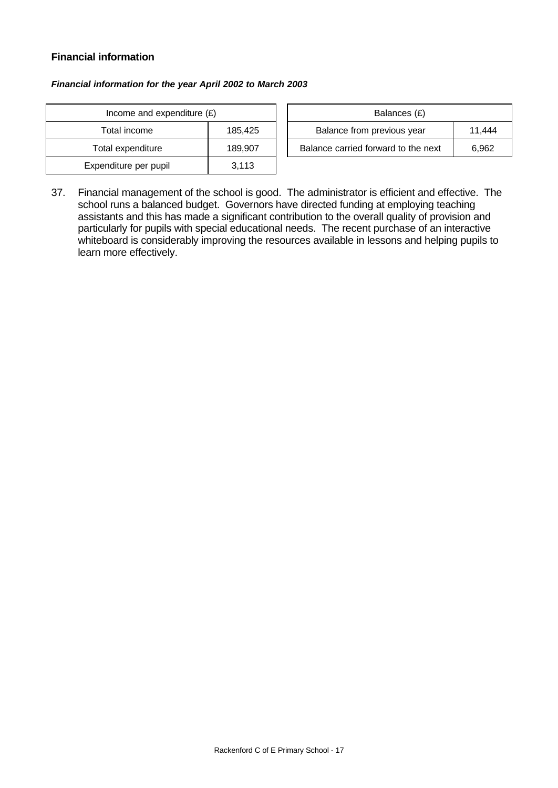## **Financial information**

#### *Financial information for the year April 2002 to March 2003*

| Income and expenditure $(E)$ |         |  | Balances (£)                     |
|------------------------------|---------|--|----------------------------------|
| Total income                 | 185,425 |  | Balance from previous year       |
| Total expenditure            | 189.907 |  | Balance carried forward to the r |
| Expenditure per pupil        | 3.113   |  |                                  |

| Income and expenditure $(E)$ |         |  |                                     |        | Balances (£) |  |
|------------------------------|---------|--|-------------------------------------|--------|--------------|--|
| Total income                 | 185.425 |  | Balance from previous year          | 11.444 |              |  |
| Total expenditure            | 189.907 |  | Balance carried forward to the next | 6.962  |              |  |

37. Financial management of the school is good. The administrator is efficient and effective. The school runs a balanced budget. Governors have directed funding at employing teaching assistants and this has made a significant contribution to the overall quality of provision and particularly for pupils with special educational needs. The recent purchase of an interactive whiteboard is considerably improving the resources available in lessons and helping pupils to learn more effectively.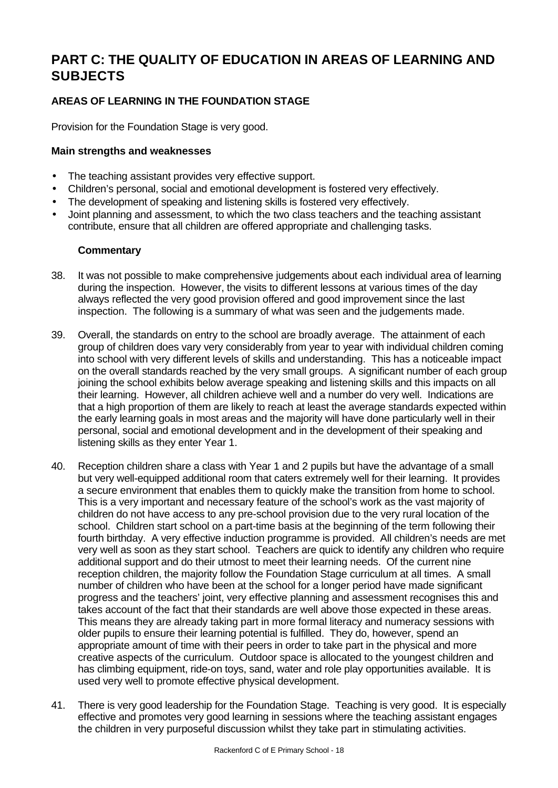# **PART C: THE QUALITY OF EDUCATION IN AREAS OF LEARNING AND SUBJECTS**

# **AREAS OF LEARNING IN THE FOUNDATION STAGE**

Provision for the Foundation Stage is very good.

### **Main strengths and weaknesses**

- The teaching assistant provides very effective support.
- Children's personal, social and emotional development is fostered very effectively.
- The development of speaking and listening skills is fostered very effectively.
- Joint planning and assessment, to which the two class teachers and the teaching assistant contribute, ensure that all children are offered appropriate and challenging tasks.

#### **Commentary**

- 38. It was not possible to make comprehensive judgements about each individual area of learning during the inspection. However, the visits to different lessons at various times of the day always reflected the very good provision offered and good improvement since the last inspection. The following is a summary of what was seen and the judgements made.
- 39. Overall, the standards on entry to the school are broadly average. The attainment of each group of children does vary very considerably from year to year with individual children coming into school with very different levels of skills and understanding. This has a noticeable impact on the overall standards reached by the very small groups. A significant number of each group joining the school exhibits below average speaking and listening skills and this impacts on all their learning. However, all children achieve well and a number do very well. Indications are that a high proportion of them are likely to reach at least the average standards expected within the early learning goals in most areas and the majority will have done particularly well in their personal, social and emotional development and in the development of their speaking and listening skills as they enter Year 1.
- 40. Reception children share a class with Year 1 and 2 pupils but have the advantage of a small but very well-equipped additional room that caters extremely well for their learning. It provides a secure environment that enables them to quickly make the transition from home to school. This is a very important and necessary feature of the school's work as the vast majority of children do not have access to any pre-school provision due to the very rural location of the school. Children start school on a part-time basis at the beginning of the term following their fourth birthday. A very effective induction programme is provided. All children's needs are met very well as soon as they start school. Teachers are quick to identify any children who require additional support and do their utmost to meet their learning needs. Of the current nine reception children, the majority follow the Foundation Stage curriculum at all times. A small number of children who have been at the school for a longer period have made significant progress and the teachers' joint, very effective planning and assessment recognises this and takes account of the fact that their standards are well above those expected in these areas. This means they are already taking part in more formal literacy and numeracy sessions with older pupils to ensure their learning potential is fulfilled. They do, however, spend an appropriate amount of time with their peers in order to take part in the physical and more creative aspects of the curriculum. Outdoor space is allocated to the youngest children and has climbing equipment, ride-on toys, sand, water and role play opportunities available. It is used very well to promote effective physical development.
- 41. There is very good leadership for the Foundation Stage. Teaching is very good. It is especially effective and promotes very good learning in sessions where the teaching assistant engages the children in very purposeful discussion whilst they take part in stimulating activities.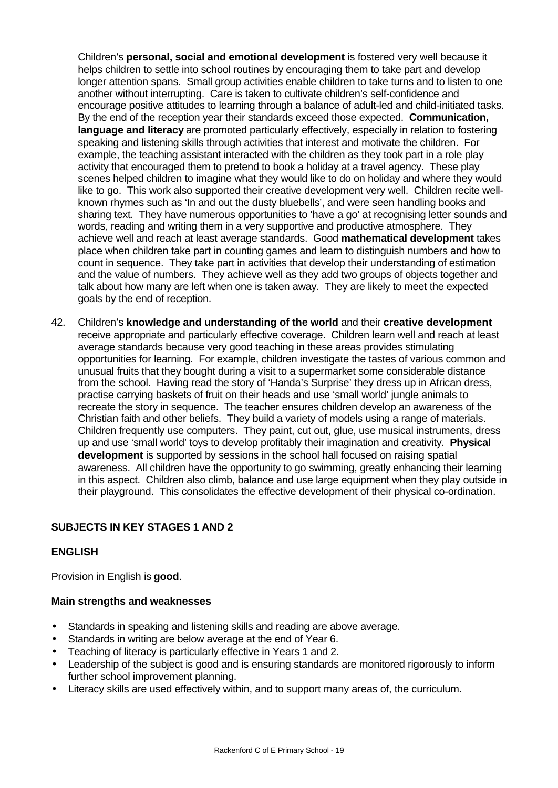Children's **personal, social and emotional development** is fostered very well because it helps children to settle into school routines by encouraging them to take part and develop longer attention spans. Small group activities enable children to take turns and to listen to one another without interrupting. Care is taken to cultivate children's self-confidence and encourage positive attitudes to learning through a balance of adult-led and child-initiated tasks. By the end of the reception year their standards exceed those expected. **Communication, language and literacy** are promoted particularly effectively, especially in relation to fostering speaking and listening skills through activities that interest and motivate the children. For example, the teaching assistant interacted with the children as they took part in a role play activity that encouraged them to pretend to book a holiday at a travel agency. These play scenes helped children to imagine what they would like to do on holiday and where they would like to go. This work also supported their creative development very well. Children recite wellknown rhymes such as 'In and out the dusty bluebells', and were seen handling books and sharing text. They have numerous opportunities to 'have a go' at recognising letter sounds and words, reading and writing them in a very supportive and productive atmosphere. They achieve well and reach at least average standards. Good **mathematical development** takes place when children take part in counting games and learn to distinguish numbers and how to count in sequence. They take part in activities that develop their understanding of estimation and the value of numbers. They achieve well as they add two groups of objects together and talk about how many are left when one is taken away. They are likely to meet the expected goals by the end of reception.

42. Children's **knowledge and understanding of the world** and their **creative development** receive appropriate and particularly effective coverage. Children learn well and reach at least average standards because very good teaching in these areas provides stimulating opportunities for learning. For example, children investigate the tastes of various common and unusual fruits that they bought during a visit to a supermarket some considerable distance from the school. Having read the story of 'Handa's Surprise' they dress up in African dress, practise carrying baskets of fruit on their heads and use 'small world' jungle animals to recreate the story in sequence. The teacher ensures children develop an awareness of the Christian faith and other beliefs. They build a variety of models using a range of materials. Children frequently use computers. They paint, cut out, glue, use musical instruments, dress up and use 'small world' toys to develop profitably their imagination and creativity. **Physical development** is supported by sessions in the school hall focused on raising spatial awareness. All children have the opportunity to go swimming, greatly enhancing their learning in this aspect. Children also climb, balance and use large equipment when they play outside in their playground. This consolidates the effective development of their physical co-ordination.

# **SUBJECTS IN KEY STAGES 1 AND 2**

## **ENGLISH**

Provision in English is **good**.

#### **Main strengths and weaknesses**

- Standards in speaking and listening skills and reading are above average.
- Standards in writing are below average at the end of Year 6.
- Teaching of literacy is particularly effective in Years 1 and 2.
- Leadership of the subject is good and is ensuring standards are monitored rigorously to inform further school improvement planning.
- Literacy skills are used effectively within, and to support many areas of, the curriculum.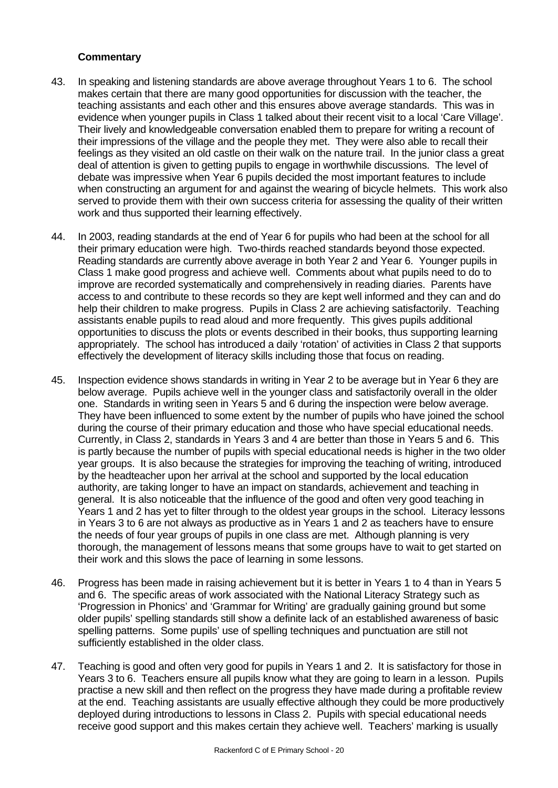### **Commentary**

- 43. In speaking and listening standards are above average throughout Years 1 to 6. The school makes certain that there are many good opportunities for discussion with the teacher, the teaching assistants and each other and this ensures above average standards. This was in evidence when younger pupils in Class 1 talked about their recent visit to a local 'Care Village'. Their lively and knowledgeable conversation enabled them to prepare for writing a recount of their impressions of the village and the people they met. They were also able to recall their feelings as they visited an old castle on their walk on the nature trail. In the junior class a great deal of attention is given to getting pupils to engage in worthwhile discussions. The level of debate was impressive when Year 6 pupils decided the most important features to include when constructing an argument for and against the wearing of bicycle helmets. This work also served to provide them with their own success criteria for assessing the quality of their written work and thus supported their learning effectively.
- 44. In 2003, reading standards at the end of Year 6 for pupils who had been at the school for all their primary education were high. Two-thirds reached standards beyond those expected. Reading standards are currently above average in both Year 2 and Year 6. Younger pupils in Class 1 make good progress and achieve well. Comments about what pupils need to do to improve are recorded systematically and comprehensively in reading diaries. Parents have access to and contribute to these records so they are kept well informed and they can and do help their children to make progress. Pupils in Class 2 are achieving satisfactorily. Teaching assistants enable pupils to read aloud and more frequently. This gives pupils additional opportunities to discuss the plots or events described in their books, thus supporting learning appropriately. The school has introduced a daily 'rotation' of activities in Class 2 that supports effectively the development of literacy skills including those that focus on reading.
- 45. Inspection evidence shows standards in writing in Year 2 to be average but in Year 6 they are below average. Pupils achieve well in the younger class and satisfactorily overall in the older one. Standards in writing seen in Years 5 and 6 during the inspection were below average. They have been influenced to some extent by the number of pupils who have joined the school during the course of their primary education and those who have special educational needs. Currently, in Class 2, standards in Years 3 and 4 are better than those in Years 5 and 6. This is partly because the number of pupils with special educational needs is higher in the two older year groups. It is also because the strategies for improving the teaching of writing, introduced by the headteacher upon her arrival at the school and supported by the local education authority, are taking longer to have an impact on standards, achievement and teaching in general. It is also noticeable that the influence of the good and often very good teaching in Years 1 and 2 has yet to filter through to the oldest year groups in the school. Literacy lessons in Years 3 to 6 are not always as productive as in Years 1 and 2 as teachers have to ensure the needs of four year groups of pupils in one class are met. Although planning is very thorough, the management of lessons means that some groups have to wait to get started on their work and this slows the pace of learning in some lessons.
- 46. Progress has been made in raising achievement but it is better in Years 1 to 4 than in Years 5 and 6. The specific areas of work associated with the National Literacy Strategy such as 'Progression in Phonics' and 'Grammar for Writing' are gradually gaining ground but some older pupils' spelling standards still show a definite lack of an established awareness of basic spelling patterns. Some pupils' use of spelling techniques and punctuation are still not sufficiently established in the older class.
- 47. Teaching is good and often very good for pupils in Years 1 and 2. It is satisfactory for those in Years 3 to 6. Teachers ensure all pupils know what they are going to learn in a lesson. Pupils practise a new skill and then reflect on the progress they have made during a profitable review at the end. Teaching assistants are usually effective although they could be more productively deployed during introductions to lessons in Class 2. Pupils with special educational needs receive good support and this makes certain they achieve well. Teachers' marking is usually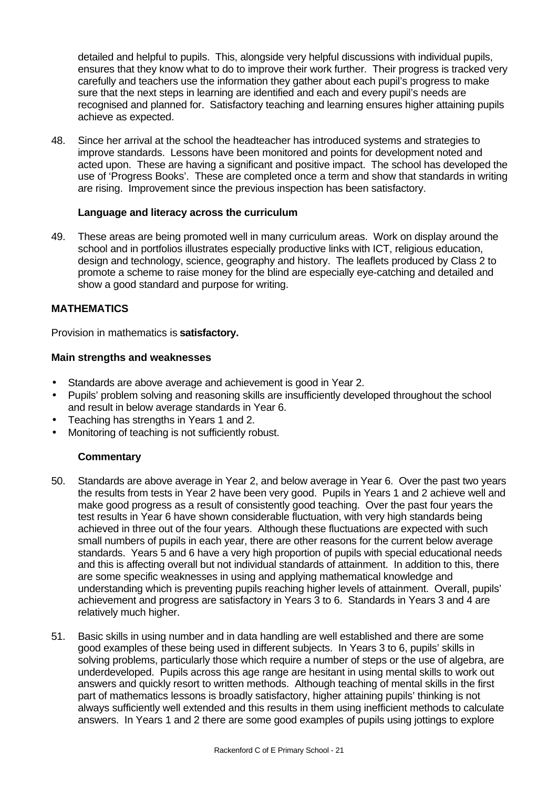detailed and helpful to pupils. This, alongside very helpful discussions with individual pupils, ensures that they know what to do to improve their work further. Their progress is tracked very carefully and teachers use the information they gather about each pupil's progress to make sure that the next steps in learning are identified and each and every pupil's needs are recognised and planned for. Satisfactory teaching and learning ensures higher attaining pupils achieve as expected.

48. Since her arrival at the school the headteacher has introduced systems and strategies to improve standards. Lessons have been monitored and points for development noted and acted upon. These are having a significant and positive impact. The school has developed the use of 'Progress Books'. These are completed once a term and show that standards in writing are rising. Improvement since the previous inspection has been satisfactory.

#### **Language and literacy across the curriculum**

49. These areas are being promoted well in many curriculum areas. Work on display around the school and in portfolios illustrates especially productive links with ICT, religious education, design and technology, science, geography and history. The leaflets produced by Class 2 to promote a scheme to raise money for the blind are especially eye-catching and detailed and show a good standard and purpose for writing.

## **MATHEMATICS**

Provision in mathematics is **satisfactory.**

#### **Main strengths and weaknesses**

- Standards are above average and achievement is good in Year 2.
- Pupils' problem solving and reasoning skills are insufficiently developed throughout the school and result in below average standards in Year 6.
- Teaching has strengths in Years 1 and 2.
- Monitoring of teaching is not sufficiently robust.

#### **Commentary**

- 50. Standards are above average in Year 2, and below average in Year 6. Over the past two years the results from tests in Year 2 have been very good. Pupils in Years 1 and 2 achieve well and make good progress as a result of consistently good teaching. Over the past four years the test results in Year 6 have shown considerable fluctuation, with very high standards being achieved in three out of the four years. Although these fluctuations are expected with such small numbers of pupils in each year, there are other reasons for the current below average standards. Years 5 and 6 have a very high proportion of pupils with special educational needs and this is affecting overall but not individual standards of attainment. In addition to this, there are some specific weaknesses in using and applying mathematical knowledge and understanding which is preventing pupils reaching higher levels of attainment. Overall, pupils' achievement and progress are satisfactory in Years 3 to 6. Standards in Years 3 and 4 are relatively much higher.
- 51. Basic skills in using number and in data handling are well established and there are some good examples of these being used in different subjects. In Years 3 to 6, pupils' skills in solving problems, particularly those which require a number of steps or the use of algebra, are underdeveloped. Pupils across this age range are hesitant in using mental skills to work out answers and quickly resort to written methods. Although teaching of mental skills in the first part of mathematics lessons is broadly satisfactory, higher attaining pupils' thinking is not always sufficiently well extended and this results in them using inefficient methods to calculate answers. In Years 1 and 2 there are some good examples of pupils using jottings to explore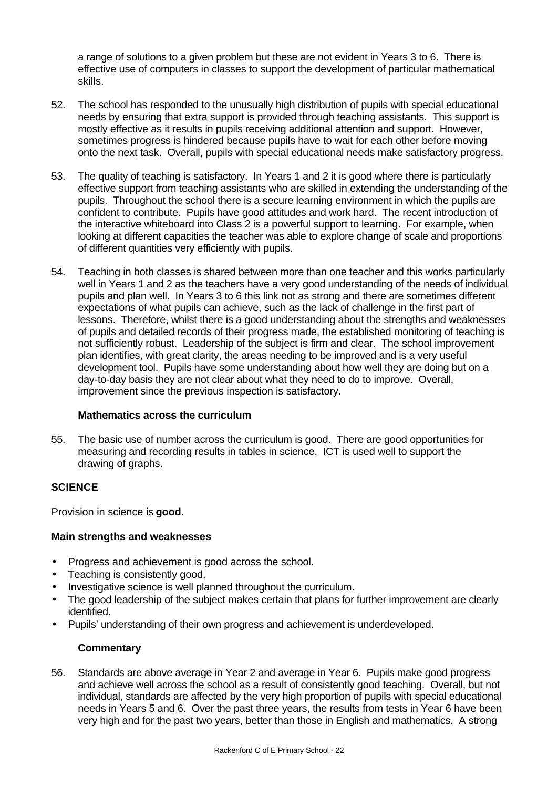a range of solutions to a given problem but these are not evident in Years 3 to 6. There is effective use of computers in classes to support the development of particular mathematical skills.

- 52. The school has responded to the unusually high distribution of pupils with special educational needs by ensuring that extra support is provided through teaching assistants. This support is mostly effective as it results in pupils receiving additional attention and support. However, sometimes progress is hindered because pupils have to wait for each other before moving onto the next task. Overall, pupils with special educational needs make satisfactory progress.
- 53. The quality of teaching is satisfactory. In Years 1 and 2 it is good where there is particularly effective support from teaching assistants who are skilled in extending the understanding of the pupils. Throughout the school there is a secure learning environment in which the pupils are confident to contribute. Pupils have good attitudes and work hard. The recent introduction of the interactive whiteboard into Class 2 is a powerful support to learning. For example, when looking at different capacities the teacher was able to explore change of scale and proportions of different quantities very efficiently with pupils.
- 54. Teaching in both classes is shared between more than one teacher and this works particularly well in Years 1 and 2 as the teachers have a very good understanding of the needs of individual pupils and plan well. In Years 3 to 6 this link not as strong and there are sometimes different expectations of what pupils can achieve, such as the lack of challenge in the first part of lessons. Therefore, whilst there is a good understanding about the strengths and weaknesses of pupils and detailed records of their progress made, the established monitoring of teaching is not sufficiently robust. Leadership of the subject is firm and clear. The school improvement plan identifies, with great clarity, the areas needing to be improved and is a very useful development tool. Pupils have some understanding about how well they are doing but on a day-to-day basis they are not clear about what they need to do to improve. Overall, improvement since the previous inspection is satisfactory.

#### **Mathematics across the curriculum**

55. The basic use of number across the curriculum is good. There are good opportunities for measuring and recording results in tables in science. ICT is used well to support the drawing of graphs.

#### **SCIENCE**

Provision in science is **good**.

#### **Main strengths and weaknesses**

- Progress and achievement is good across the school.
- Teaching is consistently good.
- Investigative science is well planned throughout the curriculum.
- The good leadership of the subject makes certain that plans for further improvement are clearly identified.
- Pupils' understanding of their own progress and achievement is underdeveloped.

#### **Commentary**

56. Standards are above average in Year 2 and average in Year 6. Pupils make good progress and achieve well across the school as a result of consistently good teaching. Overall, but not individual, standards are affected by the very high proportion of pupils with special educational needs in Years 5 and 6. Over the past three years, the results from tests in Year 6 have been very high and for the past two years, better than those in English and mathematics. A strong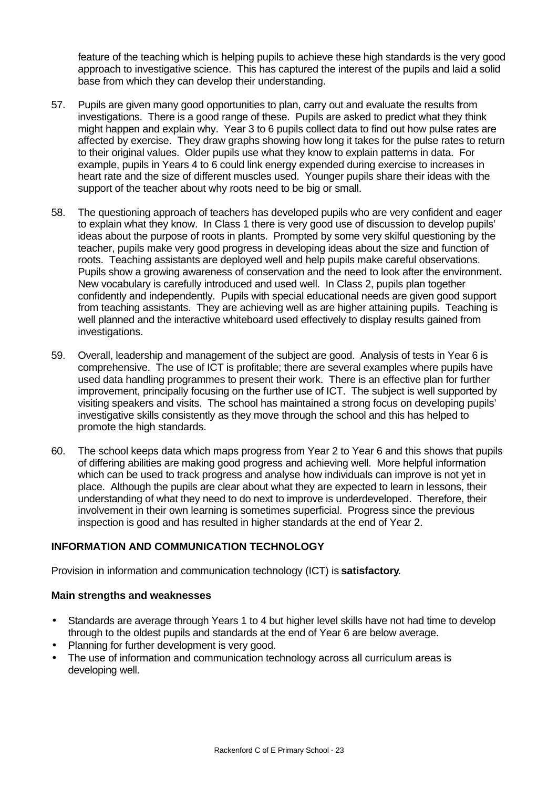feature of the teaching which is helping pupils to achieve these high standards is the very good approach to investigative science. This has captured the interest of the pupils and laid a solid base from which they can develop their understanding.

- 57. Pupils are given many good opportunities to plan, carry out and evaluate the results from investigations. There is a good range of these. Pupils are asked to predict what they think might happen and explain why. Year 3 to 6 pupils collect data to find out how pulse rates are affected by exercise. They draw graphs showing how long it takes for the pulse rates to return to their original values. Older pupils use what they know to explain patterns in data. For example, pupils in Years 4 to 6 could link energy expended during exercise to increases in heart rate and the size of different muscles used. Younger pupils share their ideas with the support of the teacher about why roots need to be big or small.
- 58. The questioning approach of teachers has developed pupils who are very confident and eager to explain what they know. In Class 1 there is very good use of discussion to develop pupils' ideas about the purpose of roots in plants. Prompted by some very skilful questioning by the teacher, pupils make very good progress in developing ideas about the size and function of roots. Teaching assistants are deployed well and help pupils make careful observations. Pupils show a growing awareness of conservation and the need to look after the environment. New vocabulary is carefully introduced and used well. In Class 2, pupils plan together confidently and independently. Pupils with special educational needs are given good support from teaching assistants. They are achieving well as are higher attaining pupils. Teaching is well planned and the interactive whiteboard used effectively to display results gained from investigations.
- 59. Overall, leadership and management of the subject are good. Analysis of tests in Year 6 is comprehensive. The use of ICT is profitable; there are several examples where pupils have used data handling programmes to present their work. There is an effective plan for further improvement, principally focusing on the further use of ICT. The subject is well supported by visiting speakers and visits. The school has maintained a strong focus on developing pupils' investigative skills consistently as they move through the school and this has helped to promote the high standards.
- 60. The school keeps data which maps progress from Year 2 to Year 6 and this shows that pupils of differing abilities are making good progress and achieving well. More helpful information which can be used to track progress and analyse how individuals can improve is not yet in place. Although the pupils are clear about what they are expected to learn in lessons, their understanding of what they need to do next to improve is underdeveloped. Therefore, their involvement in their own learning is sometimes superficial. Progress since the previous inspection is good and has resulted in higher standards at the end of Year 2.

#### **INFORMATION AND COMMUNICATION TECHNOLOGY**

Provision in information and communication technology (ICT) is **satisfactory**.

#### **Main strengths and weaknesses**

- Standards are average through Years 1 to 4 but higher level skills have not had time to develop through to the oldest pupils and standards at the end of Year 6 are below average.
- Planning for further development is very good.
- The use of information and communication technology across all curriculum areas is developing well.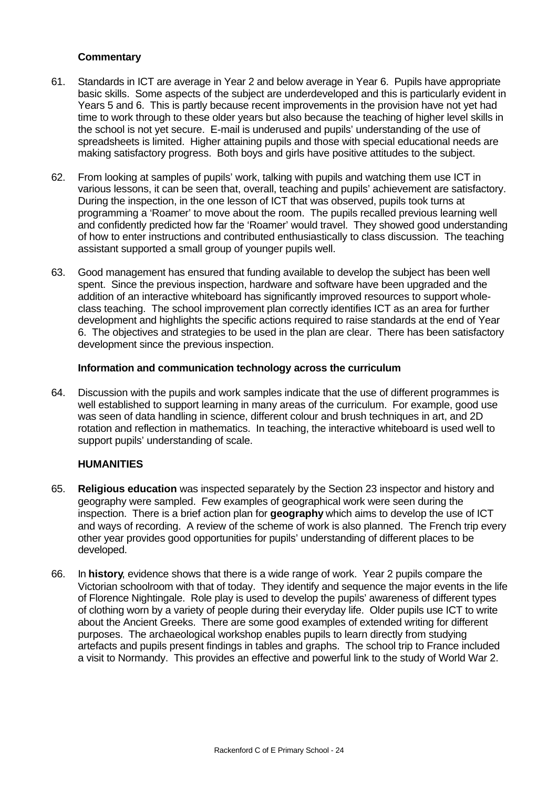#### **Commentary**

- 61. Standards in ICT are average in Year 2 and below average in Year 6. Pupils have appropriate basic skills. Some aspects of the subject are underdeveloped and this is particularly evident in Years 5 and 6. This is partly because recent improvements in the provision have not yet had time to work through to these older years but also because the teaching of higher level skills in the school is not yet secure. E-mail is underused and pupils' understanding of the use of spreadsheets is limited. Higher attaining pupils and those with special educational needs are making satisfactory progress. Both boys and girls have positive attitudes to the subject.
- 62. From looking at samples of pupils' work, talking with pupils and watching them use ICT in various lessons, it can be seen that, overall, teaching and pupils' achievement are satisfactory. During the inspection, in the one lesson of ICT that was observed, pupils took turns at programming a 'Roamer' to move about the room. The pupils recalled previous learning well and confidently predicted how far the 'Roamer' would travel. They showed good understanding of how to enter instructions and contributed enthusiastically to class discussion. The teaching assistant supported a small group of younger pupils well.
- 63. Good management has ensured that funding available to develop the subject has been well spent. Since the previous inspection, hardware and software have been upgraded and the addition of an interactive whiteboard has significantly improved resources to support wholeclass teaching. The school improvement plan correctly identifies ICT as an area for further development and highlights the specific actions required to raise standards at the end of Year 6. The objectives and strategies to be used in the plan are clear. There has been satisfactory development since the previous inspection.

#### **Information and communication technology across the curriculum**

64. Discussion with the pupils and work samples indicate that the use of different programmes is well established to support learning in many areas of the curriculum. For example, good use was seen of data handling in science, different colour and brush techniques in art, and 2D rotation and reflection in mathematics. In teaching, the interactive whiteboard is used well to support pupils' understanding of scale.

#### **HUMANITIES**

- 65. **Religious education** was inspected separately by the Section 23 inspector and history and geography were sampled. Few examples of geographical work were seen during the inspection. There is a brief action plan for **geography** which aims to develop the use of ICT and ways of recording. A review of the scheme of work is also planned. The French trip every other year provides good opportunities for pupils' understanding of different places to be developed.
- 66. In **history**, evidence shows that there is a wide range of work. Year 2 pupils compare the Victorian schoolroom with that of today. They identify and sequence the major events in the life of Florence Nightingale. Role play is used to develop the pupils' awareness of different types of clothing worn by a variety of people during their everyday life. Older pupils use ICT to write about the Ancient Greeks. There are some good examples of extended writing for different purposes. The archaeological workshop enables pupils to learn directly from studying artefacts and pupils present findings in tables and graphs. The school trip to France included a visit to Normandy. This provides an effective and powerful link to the study of World War 2.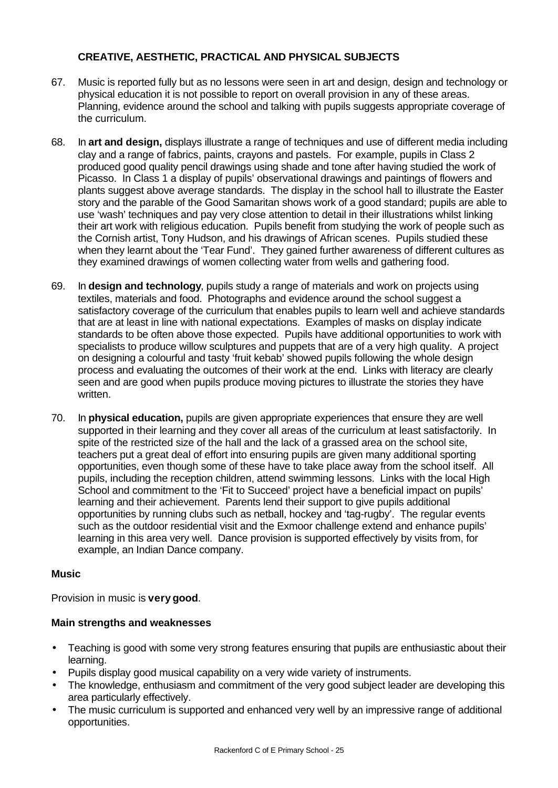## **CREATIVE, AESTHETIC, PRACTICAL AND PHYSICAL SUBJECTS**

- 67. Music is reported fully but as no lessons were seen in art and design, design and technology or physical education it is not possible to report on overall provision in any of these areas. Planning, evidence around the school and talking with pupils suggests appropriate coverage of the curriculum.
- 68. In **art and design,** displays illustrate a range of techniques and use of different media including clay and a range of fabrics, paints, crayons and pastels. For example, pupils in Class 2 produced good quality pencil drawings using shade and tone after having studied the work of Picasso. In Class 1 a display of pupils' observational drawings and paintings of flowers and plants suggest above average standards. The display in the school hall to illustrate the Easter story and the parable of the Good Samaritan shows work of a good standard; pupils are able to use 'wash' techniques and pay very close attention to detail in their illustrations whilst linking their art work with religious education. Pupils benefit from studying the work of people such as the Cornish artist, Tony Hudson, and his drawings of African scenes. Pupils studied these when they learnt about the 'Tear Fund'. They gained further awareness of different cultures as they examined drawings of women collecting water from wells and gathering food.
- 69. In **design and technology**, pupils study a range of materials and work on projects using textiles, materials and food. Photographs and evidence around the school suggest a satisfactory coverage of the curriculum that enables pupils to learn well and achieve standards that are at least in line with national expectations. Examples of masks on display indicate standards to be often above those expected. Pupils have additional opportunities to work with specialists to produce willow sculptures and puppets that are of a very high quality. A project on designing a colourful and tasty 'fruit kebab' showed pupils following the whole design process and evaluating the outcomes of their work at the end. Links with literacy are clearly seen and are good when pupils produce moving pictures to illustrate the stories they have written.
- 70. In **physical education,** pupils are given appropriate experiences that ensure they are well supported in their learning and they cover all areas of the curriculum at least satisfactorily. In spite of the restricted size of the hall and the lack of a grassed area on the school site, teachers put a great deal of effort into ensuring pupils are given many additional sporting opportunities, even though some of these have to take place away from the school itself. All pupils, including the reception children, attend swimming lessons. Links with the local High School and commitment to the 'Fit to Succeed' project have a beneficial impact on pupils' learning and their achievement. Parents lend their support to give pupils additional opportunities by running clubs such as netball, hockey and 'tag-rugby'. The regular events such as the outdoor residential visit and the Exmoor challenge extend and enhance pupils' learning in this area very well. Dance provision is supported effectively by visits from, for example, an Indian Dance company.

## **Music**

Provision in music is **very good**.

## **Main strengths and weaknesses**

- Teaching is good with some very strong features ensuring that pupils are enthusiastic about their learning.
- Pupils display good musical capability on a very wide variety of instruments.
- The knowledge, enthusiasm and commitment of the very good subject leader are developing this area particularly effectively.
- The music curriculum is supported and enhanced very well by an impressive range of additional opportunities.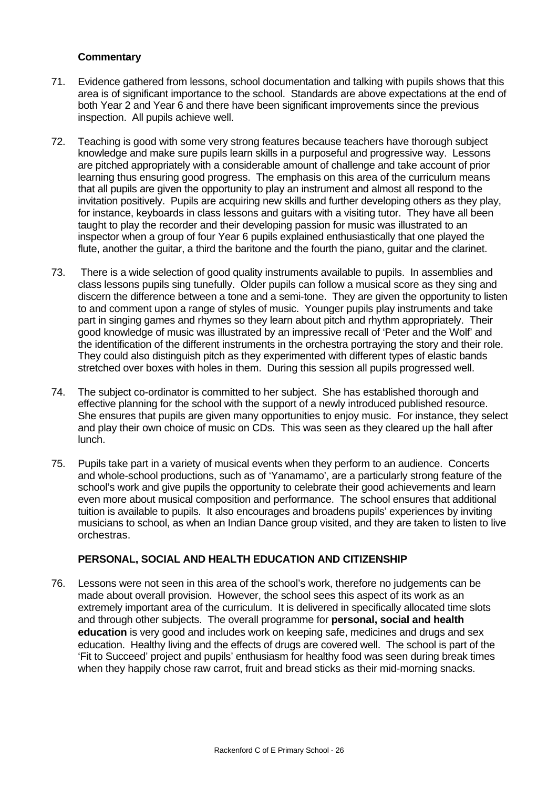#### **Commentary**

- 71. Evidence gathered from lessons, school documentation and talking with pupils shows that this area is of significant importance to the school. Standards are above expectations at the end of both Year 2 and Year 6 and there have been significant improvements since the previous inspection. All pupils achieve well.
- 72. Teaching is good with some very strong features because teachers have thorough subject knowledge and make sure pupils learn skills in a purposeful and progressive way. Lessons are pitched appropriately with a considerable amount of challenge and take account of prior learning thus ensuring good progress. The emphasis on this area of the curriculum means that all pupils are given the opportunity to play an instrument and almost all respond to the invitation positively. Pupils are acquiring new skills and further developing others as they play, for instance, keyboards in class lessons and guitars with a visiting tutor. They have all been taught to play the recorder and their developing passion for music was illustrated to an inspector when a group of four Year 6 pupils explained enthusiastically that one played the flute, another the guitar, a third the baritone and the fourth the piano, guitar and the clarinet.
- 73. There is a wide selection of good quality instruments available to pupils. In assemblies and class lessons pupils sing tunefully. Older pupils can follow a musical score as they sing and discern the difference between a tone and a semi-tone. They are given the opportunity to listen to and comment upon a range of styles of music. Younger pupils play instruments and take part in singing games and rhymes so they learn about pitch and rhythm appropriately. Their good knowledge of music was illustrated by an impressive recall of 'Peter and the Wolf' and the identification of the different instruments in the orchestra portraying the story and their role. They could also distinguish pitch as they experimented with different types of elastic bands stretched over boxes with holes in them. During this session all pupils progressed well.
- 74. The subject co-ordinator is committed to her subject. She has established thorough and effective planning for the school with the support of a newly introduced published resource. She ensures that pupils are given many opportunities to enjoy music. For instance, they select and play their own choice of music on CDs. This was seen as they cleared up the hall after lunch.
- 75. Pupils take part in a variety of musical events when they perform to an audience. Concerts and whole-school productions, such as of 'Yanamamo', are a particularly strong feature of the school's work and give pupils the opportunity to celebrate their good achievements and learn even more about musical composition and performance. The school ensures that additional tuition is available to pupils. It also encourages and broadens pupils' experiences by inviting musicians to school, as when an Indian Dance group visited, and they are taken to listen to live orchestras.

#### **PERSONAL, SOCIAL AND HEALTH EDUCATION AND CITIZENSHIP**

76. Lessons were not seen in this area of the school's work, therefore no judgements can be made about overall provision. However, the school sees this aspect of its work as an extremely important area of the curriculum. It is delivered in specifically allocated time slots and through other subjects. The overall programme for **personal, social and health education** is very good and includes work on keeping safe, medicines and drugs and sex education. Healthy living and the effects of drugs are covered well. The school is part of the 'Fit to Succeed' project and pupils' enthusiasm for healthy food was seen during break times when they happily chose raw carrot, fruit and bread sticks as their mid-morning snacks.